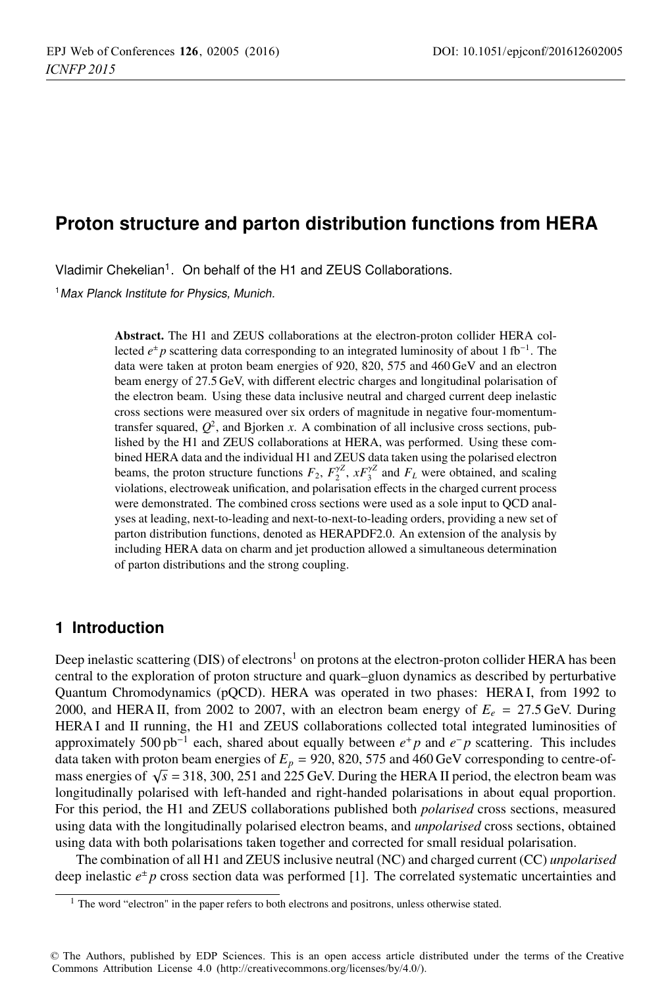## **Proton structure and parton distribution functions from HERA**

Vladimir Chekelian<sup>1</sup>. On behalf of the H1 and ZEUS Collaborations.

<sup>1</sup> Max Planck Institute for Physics, Munich.

**Abstract.** The H1 and ZEUS collaborations at the electron-proton collider HERA collected  $e^{\pm}$  *p* scattering data corresponding to an integrated luminosity of about 1 fb<sup>-1</sup>. The data were taken at proton beam energies of 920, 820, 575 and 460 GeV and an electron beam energy of 27.5 GeV, with different electric charges and longitudinal polarisation of the electron beam. Using these data inclusive neutral and charged current deep inelastic cross sections were measured over six orders of magnitude in negative four-momentumtransfer squared,  $Q^2$ , and Bjorken *x*. A combination of all inclusive cross sections, published by the H1 and ZEUS collaborations at HERA, was performed. Using these combined HERA data and the individual H1 and ZEUS data taken using the polarised electron beams, the proton structure functions  $F_2$ ,  $F_2^{\gamma Z}$ ,  $xF_3^{\gamma Z}$  and  $F_L$  were obtained, and scaling violations, electroweak unification, and polarisation effects in the charged current process were demonstrated. The combined cross sections were used as a sole input to QCD analyses at leading, next-to-leading and next-to-next-to-leading orders, providing a new set of parton distribution functions, denoted as HERAPDF2.0. An extension of the analysis by including HERA data on charm and jet production allowed a simultaneous determination of parton distributions and the strong coupling.

## **1 Introduction**

Deep inelastic scattering (DIS) of electrons<sup>1</sup> on protons at the electron-proton collider HERA has been central to the exploration of proton structure and quark–gluon dynamics as described by perturbative Quantum Chromodynamics (pQCD). HERA was operated in two phases: HERA I, from 1992 to 2000, and HERA II, from 2002 to 2007, with an electron beam energy of  $E_e = 27.5$  GeV. During HERA I and II running, the H1 and ZEUS collaborations collected total integrated luminosities of approximately 500 pb−<sup>1</sup> each, shared about equally between *e*<sup>+</sup> *p* and *e*<sup>−</sup> *p* scattering. This includes data taken with proton beam energies of  $E_p = 920, 820, 575$  and 460 GeV corresponding to centre-ofmass energies of  $\sqrt{s}$  = 318, 300, 251 and 225 GeV. During the HERA II period, the electron beam was longitudinally polarised with left-handed and right-handed polarisations in about equal proportion. For this period, the H1 and ZEUS collaborations published both *polarised* cross sections, measured using data with the longitudinally polarised electron beams, and *unpolarised* cross sections, obtained using data with both polarisations taken together and corrected for small residual polarisation.

The combination of all H1 and ZEUS inclusive neutral (NC) and charged current (CC) *unpolarised* deep inelastic  $e^{\pm}p$  cross section data was performed [1]. The correlated systematic uncertainties and

 $1$  The word "electron" in the paper refers to both electrons and positrons, unless otherwise stated.

<sup>©</sup> The Authors, published by EDP Sciences. This is an open access article distributed under the terms of the Creative Commons Attribution License 4.0 (http://creativecommons.org/licenses/by/4.0/).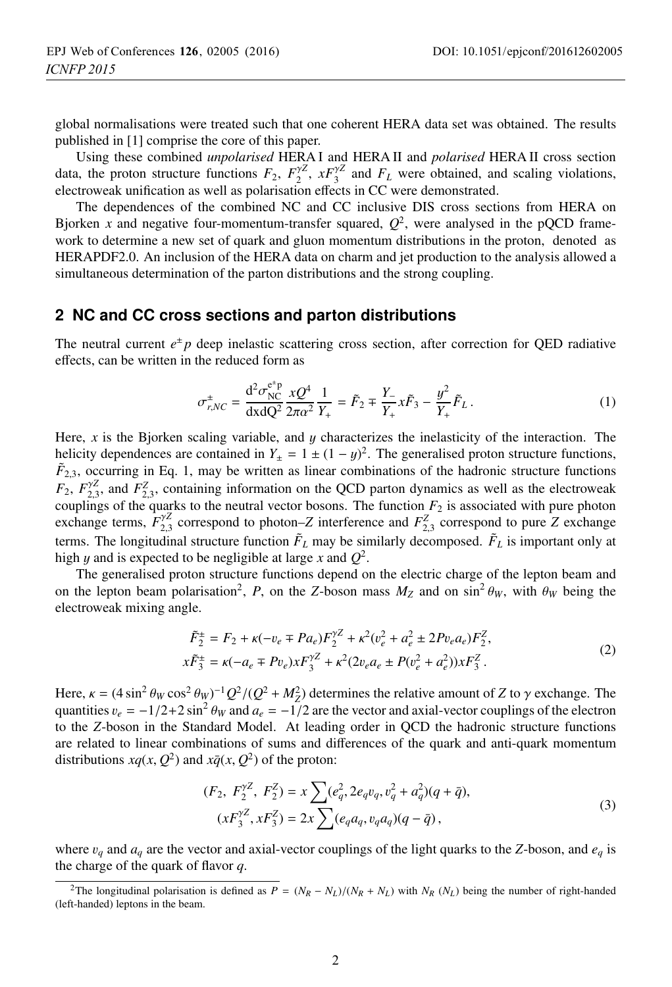global normalisations were treated such that one coherent HERA data set was obtained. The results published in [1] comprise the core of this paper.

Using these combined *unpolarised* HERA I and HERA II and *polarised* HERA II cross section data, the proton structure functions  $F_2$ ,  $F_2^{\gamma Z}$ ,  $xF_3^{\gamma Z}$  and  $F_L$  were obtained, and scaling violations, electroweak unification as well as polarisation effects in CC were demonstrated.

The dependences of the combined NC and CC inclusive DIS cross sections from HERA on Bjorken *x* and negative four-momentum-transfer squared,  $Q^2$ , were analysed in the pQCD framework to determine a new set of quark and gluon momentum distributions in the proton, denoted as HERAPDF2.0. An inclusion of the HERA data on charm and jet production to the analysis allowed a simultaneous determination of the parton distributions and the strong coupling.

### **2 NC and CC cross sections and parton distributions**

The neutral current  $e^{\pm}p$  deep inelastic scattering cross section, after correction for QED radiative effects, can be written in the reduced form as

$$
\sigma_{r,NC}^{\pm} = \frac{d^2 \sigma_{NC}^{e^{\pm}p}}{dx dQ^2} \frac{x Q^4}{2\pi \alpha^2} \frac{1}{Y_+} = \tilde{F}_2 \mp \frac{Y_-}{Y_+} x \tilde{F}_3 - \frac{y^2}{Y_+} \tilde{F}_L.
$$
 (1)

Here, *<sup>x</sup>* is the Bjorken scaling variable, and y characterizes the inelasticity of the interaction. The helicity dependences are contained in  $Y_{\pm} = 1 \pm (1 - y)^2$ . The generalised proton structure functions,<br> $\tilde{F}_{2,2}$ , occurring in Eq. 1, may be written as linear combinations of the hadronic structure functions  $\tilde{F}_{2,3}$ , occurring in Eq. 1, may be written as linear combinations of the hadronic structure functions  $F_2$ ,  $F_{2,2}^{\gamma Z}$ , and  $F_{2,3}^Z$ , containing information on the QCD parton dynamics as well as the electroweak<br>couplings of the quarks to the neutral vector bosons. The function  $F_2$  is associated with pure photon couplings of the quarks to the neutral vector bosons. The function  $F_2$  is associated with pure photon exchange terms,  $\tilde{F}_{2,3}^{yZ}$  correspond to photon–*Z* interference and  $F_{2,3}^{z}$  correspond to pure *Z* exchange terms. The longitudinal structure function  $F_L$  may be similarly decomposed.  $F_L$  is important only at high y and is expected to be negligible at large x and  $Q^2$ .

The generalised proton structure functions depend on the electric charge of the lepton beam and on the lepton beam polarisation<sup>2</sup>, *P*, on the *Z*-boson mass  $M_Z$  and on sin<sup>2</sup>  $\theta_W$ , with  $\theta_W$  being the electroweak mixing angle.

$$
\tilde{F}_2^{\pm} = F_2 + \kappa(-v_e \mp Pa_e)F_2^{\gamma Z} + \kappa^2(v_e^2 + a_e^2 \pm 2Pv_e a_e)F_2^Z,
$$
  
\n
$$
x\tilde{F}_3^{\pm} = \kappa(-a_e \mp Pv_e)xF_3^{\gamma Z} + \kappa^2(2v_e a_e \pm P(v_e^2 + a_e^2))xF_3^Z.
$$
\n(2)

Here,  $\kappa = (4 \sin^2 \theta_W \cos^2 \theta_W)^{-1} Q^2/(Q^2 + M_Z^2)$  determines the relative amount of *Z* to  $\gamma$  exchange. The quantities  $v = -1/2 + 2 \sin^2 \theta_W$  and  $a = -1/2$  are the vector and axial-vector countings of the electron quantities  $v_e = -1/2 + 2 \sin^2 \theta_W$  and  $a_e = -1/2$  are the vector and axial-vector couplings of the electron to the *Z*-boson in the Standard Model. At leading order in QCD the hadronic structure functions are related to linear combinations of sums and differences of the quark and anti-quark momentum distributions  $xq(x, Q^2)$  and  $x\overline{q}(x, Q^2)$  of the proton:

$$
(F_2, F_2^{\gamma Z}, F_2^Z) = x \sum (e_q^2, 2e_q v_q, v_q^2 + a_q^2)(q + \bar{q}),
$$
  

$$
(xF_3^{\gamma Z}, xF_3^Z) = 2x \sum (e_q a_q, v_q a_q)(q - \bar{q}),
$$
 (3)

where  $v_q$  and  $a_q$  are the vector and axial-vector couplings of the light quarks to the *Z*-boson, and  $e_q$  is the charge of the quark of flavor *q*.

<sup>&</sup>lt;sup>2</sup>The longitudinal polarisation is defined as  $P = (N_R - N_L)/(N_R + N_L)$  with  $N_R (N_L)$  being the number of right-handed (left-handed) leptons in the beam.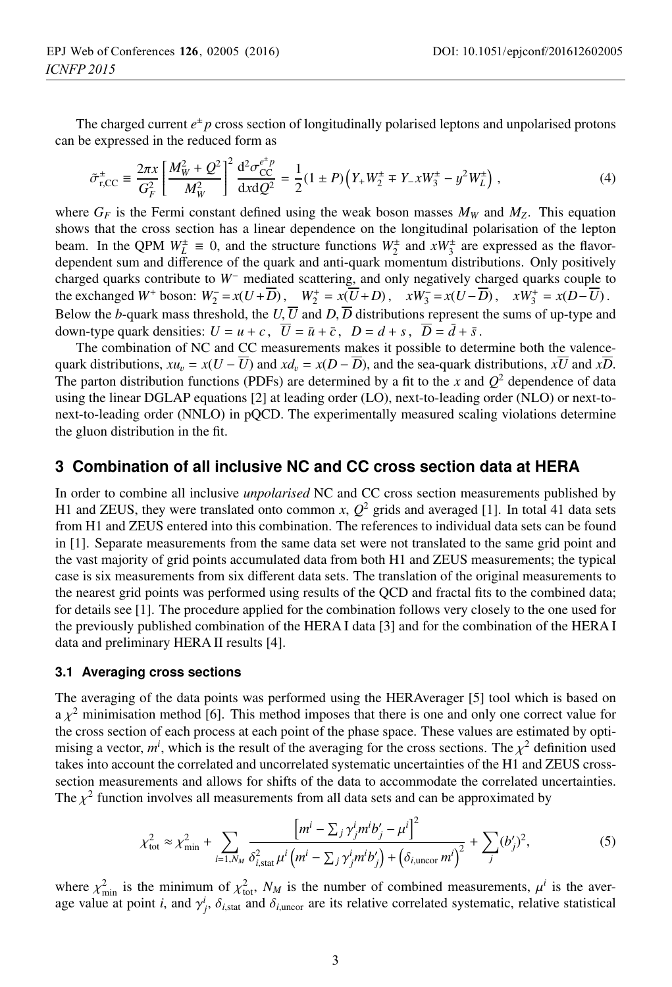The charged current  $e^{\pm}$  *p* cross section of longitudinally polarised leptons and unpolarised protons can be expressed in the reduced form as

$$
\tilde{\sigma}_{r,CC}^{\pm} \equiv \frac{2\pi x}{G_F^2} \left[ \frac{M_W^2 + Q^2}{M_W^2} \right]^2 \frac{\mathrm{d}^2 \sigma_{CC}^{e^+ p}}{\mathrm{d}x \mathrm{d}Q^2} = \frac{1}{2} (1 \pm P) \left( Y_+ W_2^{\pm} \mp Y_- x W_3^{\pm} - y^2 W_L^{\pm} \right) \,, \tag{4}
$$

where  $G_F$  is the Fermi constant defined using the weak boson masses  $M_W$  and  $M_Z$ . This equation shows that the cross section has a linear dependence on the longitudinal polarisation of the lepton beam. In the QPM  $W_L^{\pm} \equiv 0$ , and the structure functions  $W_2^{\pm}$  and  $xW_3^{\pm}$  are expressed as the flavordependent sum and difference of the quark and anti-quark momentum distributions. Only positively charged quarks contribute to *W*<sup>−</sup> mediated scattering, and only negatively charged quarks couple to the exchanged *W*<sup>+</sup> boson:  $W_2^- = x(U + \overline{D})$ ,  $W_2^+ = x(\overline{U} + D)$ ,  $xW_3^- = x(U - \overline{D})$ ,  $xW_3^+ = x(D - \overline{U})$ . Below the *b*-quark mass threshold, the *U*,  $\overline{U}$  and *D*,  $\overline{D}$  distributions represent the sums of up-type and down-type quark densities:  $U = u + c$ ,  $\overline{U} = \overline{u} + \overline{c}$ ,  $D = d + s$ ,  $\overline{D} = \overline{d} + \overline{s}$ .

The combination of NC and CC measurements makes it possible to determine both the valencequark distributions,  $xu_v = x(U - \overline{U})$  and  $x\overline{d}_v = x(D - \overline{D})$ , and the sea-quark distributions,  $x\overline{U}$  and  $x\overline{D}$ . The parton distribution functions (PDFs) are determined by a fit to the *x* and  $Q^2$  dependence of data using the linear DGLAP equations [2] at leading order (LO), next-to-leading order (NLO) or next-tonext-to-leading order (NNLO) in pQCD. The experimentally measured scaling violations determine the gluon distribution in the fit.

### **3 Combination of all inclusive NC and CC cross section data at HERA**

In order to combine all inclusive *unpolarised* NC and CC cross section measurements published by H1 and ZEUS, they were translated onto common *x*,  $Q^2$  grids and averaged [1]. In total 41 data sets from H1 and ZEUS entered into this combination. The references to individual data sets can be found in [1]. Separate measurements from the same data set were not translated to the same grid point and the vast majority of grid points accumulated data from both H1 and ZEUS measurements; the typical case is six measurements from six different data sets. The translation of the original measurements to the nearest grid points was performed using results of the QCD and fractal fits to the combined data; for details see [1]. The procedure applied for the combination follows very closely to the one used for the previously published combination of the HERA I data [3] and for the combination of the HERA I data and preliminary HERA II results [4].

### **3.1 Averaging cross sections**

The averaging of the data points was performed using the HERAverager [5] tool which is based on  $a \chi^2$  minimisation method [6]. This method imposes that there is one and only one correct value for the cross section of each process at each point of the phase space. These values are estimated by optimising a vector,  $m^i$ , which is the result of the averaging for the cross sections. The  $\chi^2$  definition used<br>takes into account the correlated and uncorrelated systematic uncertainties of the H1 and ZEUS crosstakes into account the correlated and uncorrelated systematic uncertainties of the H1 and ZEUS crosssection measurements and allows for shifts of the data to accommodate the correlated uncertainties. The  $\chi^2$  function involves all measurements from all data sets and can be approximated by

$$
\chi_{\text{tot}}^2 \approx \chi_{\text{min}}^2 + \sum_{i=1, N_M} \frac{\left[m^i - \sum_j \gamma_j^i m^i b_j' - \mu^i\right]^2}{\delta_{i,\text{stat}}^2 \mu^i \left(m^i - \sum_j \gamma_j^i m^i b_j'\right) + \left(\delta_{i,\text{uncor}} m^i\right)^2} + \sum_j (b_j')^2, \tag{5}
$$

where  $\chi^2_{\text{min}}$  is the minimum of  $\chi^2_{\text{tot}}$ ,  $N_M$  is the number of combined measurements,  $\mu^i$  is the aver-<br>age value at point *i*, and  $\chi^i$ ,  $\delta_{\text{tot}}$ , and  $\delta_{\text{tot}}$ , are its relative correlated systematic, r age value at point *i*, and  $\gamma^i_j$ ,  $\delta_{i,\text{stat}}$  and  $\delta_{i,\text{uncor}}$  are its relative correlated systematic, relative statistical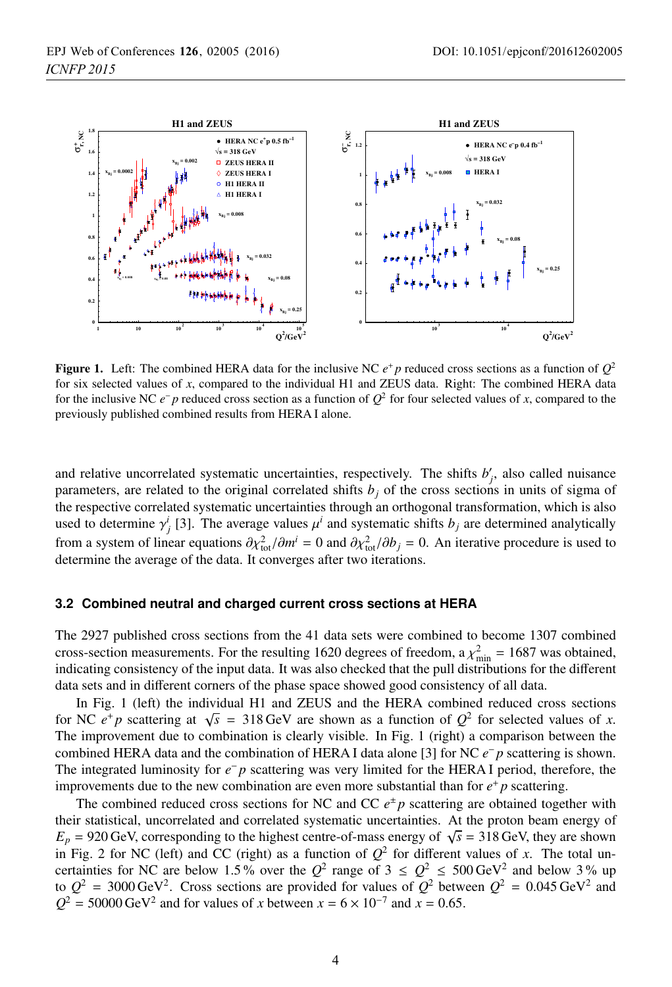

**Figure 1.** Left: The combined HERA data for the inclusive NC  $e^+$  *p* reduced cross sections as a function of  $Q^2$ for six selected values of *x*, compared to the individual H1 and ZEUS data. Right: The combined HERA data for the inclusive NC *e*<sup>−</sup> *p* reduced cross section as a function of *Q*<sup>2</sup> for four selected values of *x*, compared to the previously published combined results from HERA I alone.

and relative uncorrelated systematic uncertainties, respectively. The shifts  $b'_{j}$ , also called nuisance parameters, are related to the original correlated shifts  $b_j$  of the cross sections in units of sigma of the respective correlated systematic uncertainties through an orthogonal transformation, which is also used to determine  $\gamma^i_j$  [3]. The average values  $\mu^i$  and systematic shifts  $b_j$  are determined analytically from a system of linear equations  $\partial \chi_{\text{tot}}^2 / \partial m^i = 0$  and  $\partial \chi_{\text{tot}}^2 / \partial b_j = 0$ . An iterative procedure is used to determine the average of the data. It converges after two iterations determine the average of the data. It converges after two iterations.

#### **3.2 Combined neutral and charged current cross sections at HERA**

The 2927 published cross sections from the 41 data sets were combined to become 1307 combined cross-section measurements. For the resulting 1620 degrees of freedom,  $a \chi^2_{\text{min}} = 1687$  was obtained, indicating consistency of the input data. It was also checked that the pull distributions for the different indicating consistency of the input data. It was also checked that the pull distributions for the different data sets and in different corners of the phase space showed good consistency of all data.

In Fig. 1 (left) the individual H1 and ZEUS and the HERA combined reduced cross sections for NC  $e^+p$  scattering at  $\sqrt{s}$  = 318 GeV are shown as a function of  $Q^2$  for selected values of *x*. The improvement due to combination is clearly visible. In Fig. 1 (right) a comparison between the combined HERA data and the combination of HERA I data alone [3] for NC *e*<sup>−</sup> *p* scattering is shown. The integrated luminosity for *e*<sup>−</sup> *p* scattering was very limited for the HERA I period, therefore, the improvements due to the new combination are even more substantial than for  $e^+ p$  scattering.

The combined reduced cross sections for NC and CC  $e^{\pm}p$  scattering are obtained together with their statistical, uncorrelated and correlated systematic uncertainties. At the proton beam energy of  $E_p$  = 920 GeV, corresponding to the highest centre-of-mass energy of  $\sqrt{s}$  = 318 GeV, they are shown in Fig. 2 for NC (left) and CC (right) as a function of  $Q^2$  for different values of *x*. The total uncertainties for NC are below 1.5% over the  $Q^2$  range of  $3 \leq Q^2 \leq 500 \text{ GeV}^2$  and below 3% up to  $Q^2$  = 3000 GeV<sup>2</sup>. Cross sections are provided for values of  $Q^2$  between  $Q^2$  = 0.045 GeV<sup>2</sup> and  $Q^2$  = 50000 GeV<sup>2</sup> and for values of *x* between  $x = 6 \times 10^{-7}$  and  $\overline{x} = 0.65$ .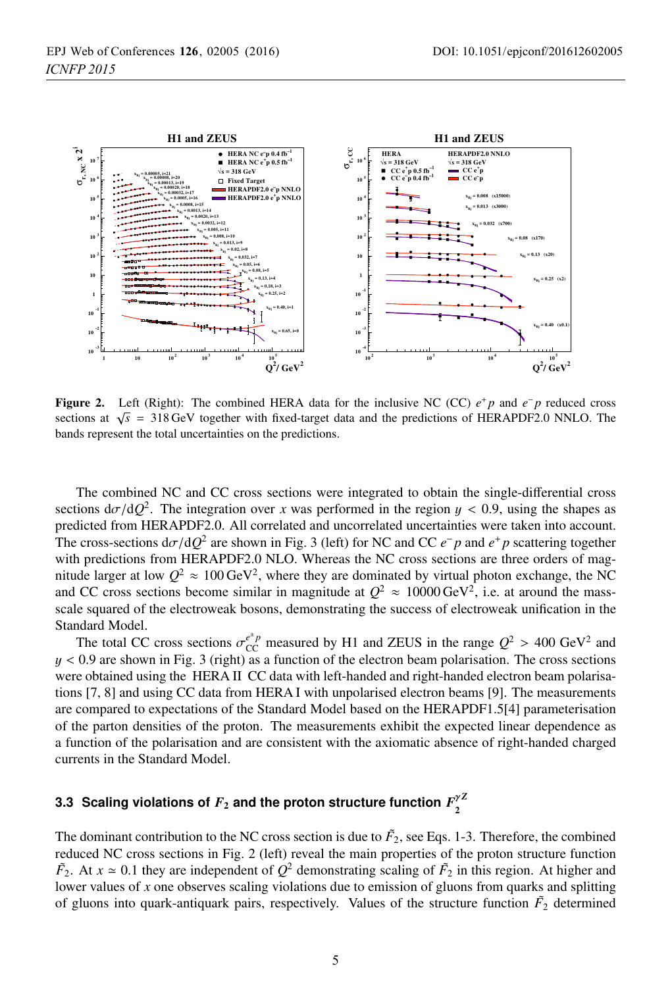

**Figure 2.** Left (Right): The combined HERA data for the inclusive NC (CC) *e*<sup>+</sup> *p* and *e*<sup>−</sup> *p* reduced cross sections at  $\sqrt{s}$  = 318 GeV together with fixed-target data and the predictions of HERAPDF2.0 NNLO. The bands represent the total uncertainties on the predictions.

The combined NC and CC cross sections were integrated to obtain the single-differential cross sections  $d\sigma/dQ^2$ . The integration over *x* was performed in the region  $y < 0.9$ , using the shapes as predicted from HERAPDF2.0. All correlated and uncorrelated uncertainties were taken into account. The cross-sections  $d\sigma/dQ^2$  are shown in Fig. 3 (left) for NC and CC  $e^- p$  and  $e^+ p$  scattering together with predictions from HERAPDF2.0 NLO. Whereas the NC cross sections are three orders of magnitude larger at low  $Q^2 \approx 100 \,\text{GeV}^2$ , where they are dominated by virtual photon exchange, the NC and CC cross sections become similar in magnitude at  $Q^2 \approx 10000 \,\text{GeV}^2$ , i.e. at around the massscale squared of the electroweak bosons, demonstrating the success of electroweak unification in the Standard Model.

The total CC cross sections  $\sigma_{\text{CC}}^{e^+ p}$  measured by H1 and ZEUS in the range  $Q^2 > 400 \text{ GeV}^2$  and 0.9 are shown in Fig. 3 (right) as a function of the electron beam polarisation. The cross sections  $y < 0.9$  are shown in Fig. 3 (right) as a function of the electron beam polarisation. The cross sections were obtained using the HERA II CC data with left-handed and right-handed electron beam polarisations [7, 8] and using CC data from HERA I with unpolarised electron beams [9]. The measurements are compared to expectations of the Standard Model based on the HERAPDF1.5[4] parameterisation of the parton densities of the proton. The measurements exhibit the expected linear dependence as a function of the polarisation and are consistent with the axiomatic absence of right-handed charged currents in the Standard Model.

# **3.3** Scaling violations of  $F_2$  and the proton structure function  $F_2^{\gamma Z}$

The dominant contribution to the NC cross section is due to  $F_2$ , see Eqs. 1-3. Therefore, the combined reduced NC cross sections in Fig. 2 (left) reveal the main properties of the proton structure function  $\tilde{F}_2$ . At  $x \approx 0.1$  they are independent of  $Q^2$  demonstrating scaling of  $\tilde{F}_2$  in this region. At higher and solutions due to emission of gluons from quarks and splitting lower values of *x* one observes scaling violations due to emission of gluons from quarks and splitting of gluons into quark-antiquark pairs, respectively. Values of the structure function  $\tilde{F}_2$  determined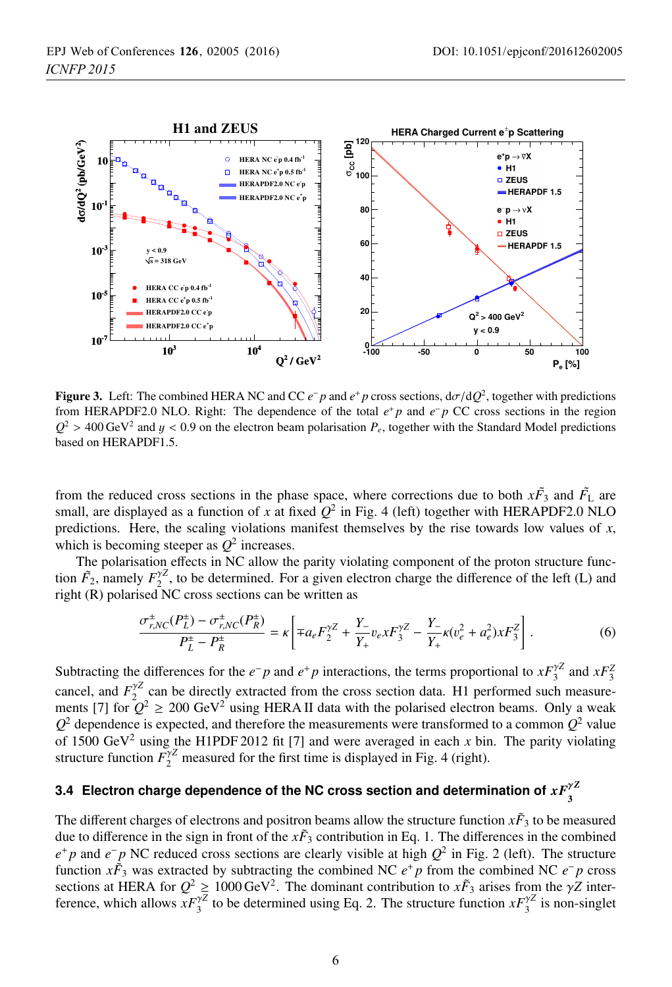

**Figure 3.** Left: The combined HERA NC and CC  $e^- p$  and  $e^+ p$  cross sections,  $d\sigma/dQ^2$ , together with predictions from HERAPDF2.0 NLO. Right: The dependence of the total *e*<sup>+</sup> *p* and *e*<sup>−</sup> *p* CC cross sections in the region  $Q^2 > 400 \,\text{GeV}^2$  and  $y < 0.9$  on the electron beam polarisation  $P_e$ , together with the Standard Model predictions based on HERAPDF1.5.

from the reduced cross sections in the phase space, where corrections due to both  $x\tilde{F}_3$  and  $\tilde{F}_L$  are small, are displayed as a function of *x* at fixed  $Q^2$  in Fig. 4 (left) together with HERAPDF2.0 NLO predictions. Here, the scaling violations manifest themselves by the rise towards low values of  $x$ , which is becoming steeper as  $Q^2$  increases.

The polarisation effects in NC allow the parity violating component of the proton structure function  $\tilde{F}_2$ , namely  $F_2^{\gamma Z}$ , to be determined. For a given electron charge the difference of the left (L) and right (R) polarised NC cross sections can be written as

$$
\frac{\sigma_{r,NC}^{\pm}(P_L^{\pm}) - \sigma_{r,NC}^{\pm}(P_R^{\pm})}{P_L^{\pm} - P_R^{\pm}} = \kappa \left[ \mp a_e F_2^{\gamma Z} + \frac{Y_-}{Y_+} v_e x F_3^{\gamma Z} - \frac{Y_-}{Y_+} \kappa (v_e^2 + a_e^2) x F_3^Z \right].
$$
 (6)

Subtracting the differences for the *e*−*p* and *e*<sup>+</sup>*p* interactions, the terms proportional to  $xF_3^{\gamma Z}$  and  $xF_3^Z$ cancel, and  $F_2^{\gamma Z}$  can be directly extracted from the cross section data. H1 performed such measurements [7] for  $Q^2 \ge 200 \text{ GeV}^2$  using HERA II data with the polarised electron beams. Only a weak  $Q^2$  dependence is expected, and therefore the measurements were transformed to a common  $Q^2$  value of 1500 GeV<sup>2</sup> using the H1PDF 2012 fit [7] and were averaged in each *x* bin. The parity violating structure function  $\tilde{F}_2^{\gamma Z}$  measured for the first time is displayed in Fig. 4 (right).

# **3.4** Electron charge dependence of the NC cross section and determination of  $xF_3^{\gamma Z}$

The different charges of electrons and positron beams allow the structure function  $x\tilde{F}_3$  to be measured due to difference in the sign in front of the  $x\tilde{F}_3$  contribution in Eq. 1. The differences in the combined *e*<sup>+</sup> *p* and *e*<sup>−</sup> *p* NC reduced cross sections are clearly visible at high  $Q^2$  in Fig. 2 (left). The structure function  $x\tilde{F}_3$  was extracted by subtracting the combined NC  $e^+p$  from the combined NC  $e^-p$  cross sections at HERA for  $Q^2 \ge 1000 \text{ GeV}^2$ . The dominant contribution to  $x\tilde{F}_3$  arises from the  $\gamma Z$  interference, which allows  $xF_3^{\gamma Z}$  to be determined using Eq. 2. The structure function  $xF_3^{\gamma Z}$  is non-singlet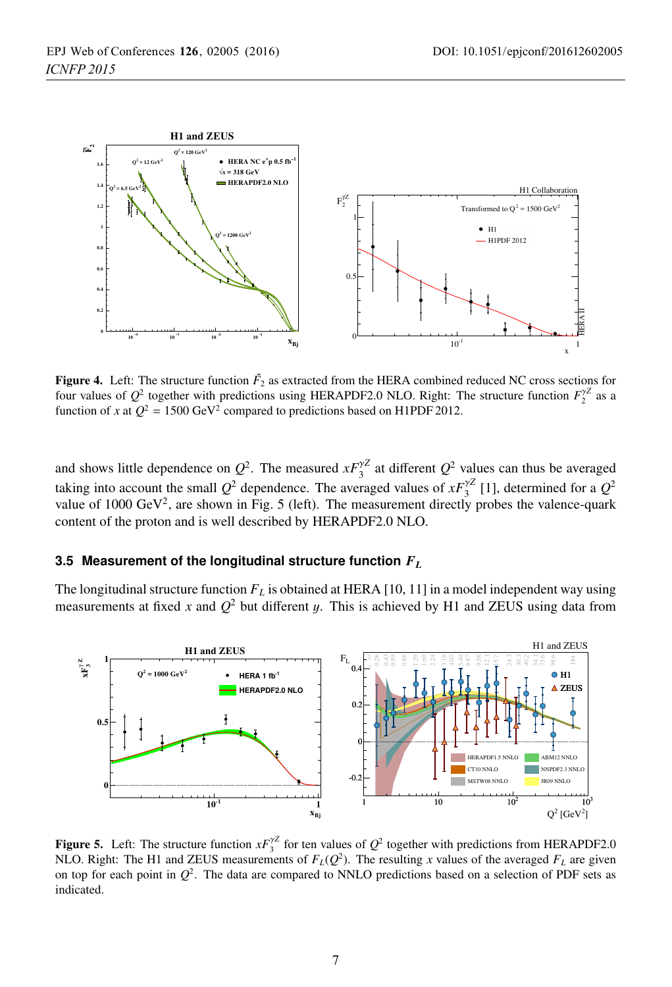

**Figure 4.** Left: The structure function  $\tilde{F}_2$  as extracted from the HERA combined reduced NC cross sections for four values of  $Q^2$  together with predictions using HERAPDF2.0 NLO. Right: The structure function  $F_2^{\gamma Z}$  as a function of *x* at  $Q^2 = 1500 \text{ GeV}^2$  compared to predictions based on H1PDF 2012.

and shows little dependence on  $Q^2$ . The measured  $xF_3^{\gamma Z}$  at different  $Q^2$  values can thus be averaged taking into account the small  $Q^2$  dependence. The averaged values of  $xF_3^{\gamma Z}$  [1], determined for a  $Q^2$ value of 1000 GeV<sup>2</sup>, are shown in Fig. 5 (left). The measurement directly probes the valence-quark content of the proton and is well described by HERAPDF2.0 NLO.

### **3.5 Measurement of the longitudinal structure function** *FL*

The longitudinal structure function *FL* is obtained at HERA [10, 11] in a model independent way using measurements at fixed *x* and  $Q^2$  but different *y*. This is achieved by H1 and ZEUS using data from



**Figure 5.** Left: The structure function  $xF_3^{\gamma Z}$  for ten values of  $Q^2$  together with predictions from HERAPDF2.0 NLO. Right: The H1 and ZEUS measurements of  $F_L(Q^2)$ . The resulting *x* values of the averaged  $F_L$  are given on top for each point in  $Q^2$ . The data are compared to NNLO predictions based on a selection of PDF sets as indicated.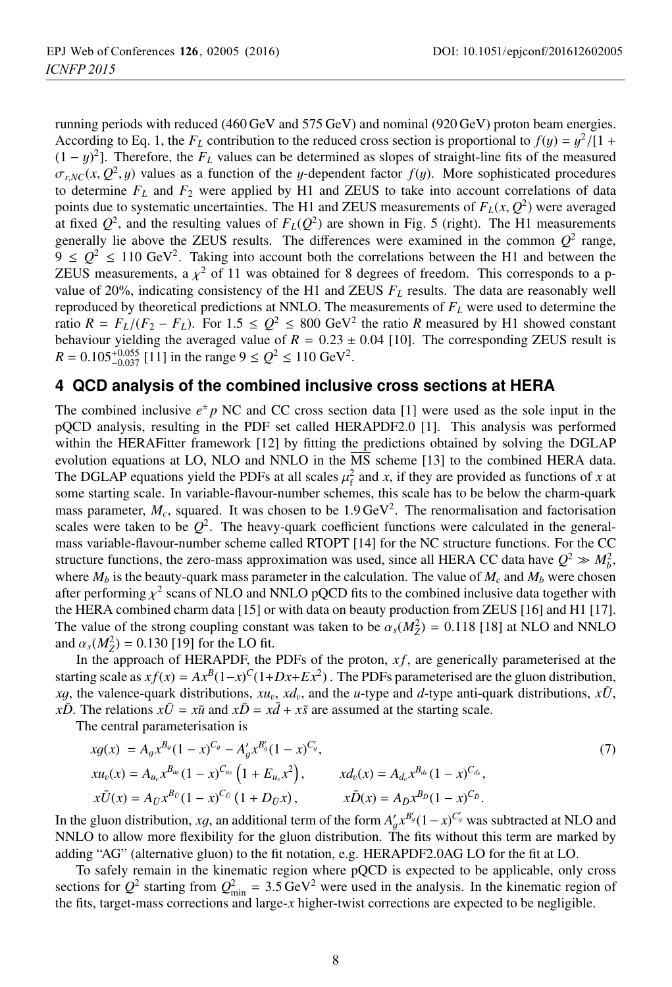running periods with reduced (460 GeV and 575 GeV) and nominal (920 GeV) proton beam energies. According to Eq. 1, the  $F_L$  contribution to the reduced cross section is proportional to  $f(y) = y^2/[1 +$  $(1 - y)^2$ ]. Therefore, the *F<sub>L</sub>* values can be determined as slopes of straight-line fits of the measured  $\sigma_{\text{avg}}(x, \Omega^2, u)$  values as a function of the *u*-dependent factor  $f(u)$ . More sophisticated procedures  $\sigma_{r,NC}(x, Q^2, y)$  values as a function of the y-dependent factor  $f(y)$ . More sophisticated procedures to determine  $F<sub>L</sub>$  and  $F<sub>2</sub>$  were applied by H1 and ZEUS to take into account correlations of data points due to systematic uncertainties. The H1 and ZEUS measurements of  $F<sub>L</sub>(x, Q<sup>2</sup>)$  were averaged at fixed  $Q^2$ , and the resulting values of  $F<sub>L</sub>(Q^2)$  are shown in Fig. 5 (right). The H1 measurements generally lie above the ZEUS results. The differences were examined in the common  $Q^2$  range,  $9 \leq Q^2 \leq 110 \text{ GeV}^2$ . Taking into account both the correlations between the H1 and between the ZEUS measurements, a  $\chi^2$  of 11 was obtained for 8 degrees of freedom. This corresponds to a pvalue of 20%, indicating consistency of the H1 and ZEUS  $F<sub>L</sub>$  results. The data are reasonably well reproduced by theoretical predictions at NNLO. The measurements of *FL* were used to determine the ratio  $R = F_L/(F_2 - F_L)$ . For  $1.5 \leq Q^2 \leq 800 \text{ GeV}^2$  the ratio *R* measured by H1 showed constant behaviour yielding the averaged value of  $R = 0.23 \pm 0.04$  [10]. The corresponding ZEUS result is  $R = 0.105_{-0.037}^{+0.055}$  [11] in the range  $9 \le Q^2 \le 110 \text{ GeV}^2$ .

## **4 QCD analysis of the combined inclusive cross sections at HERA**

The combined inclusive  $e^{\pm} p$  NC and CC cross section data [1] were used as the sole input in the pQCD analysis, resulting in the PDF set called HERAPDF2.0 [1]. This analysis was performed within the HERAFitter framework [12] by fitting the predictions obtained by solving the DGLAP evolution equations at LO, NLO and NNLO in the MS scheme [13] to the combined HERA data. The DGLAP equations yield the PDFs at all scales  $\mu_f^2$  and *x*, if they are provided as functions of *x* at some starting scale. In variable-flavour-number schemes, this scale has to be below the charm-quark some starting scale. In variable-flavour-number schemes, this scale has to be below the charm-quark mass parameter,  $M_c$ , squared. It was chosen to be 1.9 GeV<sup>2</sup>. The renormalisation and factorisation scales were taken to be  $Q^2$ . The heavy-quark coefficient functions were calculated in the generalmass variable-flavour-number scheme called RTOPT [14] for the NC structure functions. For the CC structure functions, the zero-mass approximation was used, since all HERA CC data have  $Q^2 \gg M_b^2$ , where  $M_b$  is the beauty-quark mass parameter in the calculation. The value of  $M_c$  and  $M_b$  were chosen after performing  $\chi^2$  scans of NLO and NNLO pQCD fits to the combined inclusive data together with the HERA combined charm data [15] or with data on beauty production from ZEUS [16] and H1 [17]. The value of the strong coupling constant was taken to be  $\alpha_s(M_Z^2) = 0.118$  [18] at NLO and NNLO and  $\alpha_s(M_Z^2) = 0.130$  [19] for the LO fit and  $\alpha_s(M_Z^2) = 0.130$  [19] for the LO fit.<br>In the approach of HFR APDE the

In the approach of HERAPDF, the PDFs of the proton, *xf*, are generically parameterised at the starting scale as  $xf(x) = Ax^B(1-x)^C(1+Dx+Ex^2)$ . The PDFs parameterised are the gluon distribution, *xg*, the valence-quark distributions,  $xu_v$ ,  $xdv_v$ , and the *u*-type and *d*-type anti-quark distributions,  $x\overline{U}$ , *xD*. The relations  $x\overline{U} = x\overline{u}$  and  $x\overline{D} = x\overline{d} + x\overline{s}$  are assumed at the starting scale.

The central parameterisation is

$$
xg(x) = A_g x^{B_g} (1-x)^{C_g} - A'_g x^{B'_g} (1-x)^{C'_g},
$$
  
\n
$$
xu_v(x) = A_{u_v} x^{B_{u_v}} (1-x)^{C_{u_v}} \left(1 + E_{u_v} x^2\right),
$$
  
\n
$$
x\bar{U}(x) = A_{\bar{U}} x^{B_{\bar{U}}} (1-x)^{C_{\bar{U}}} (1 + D_{\bar{U}} x),
$$
  
\n
$$
x\bar{D}(x) = A_{\bar{D}} x^{B_{\bar{D}}} (1-x)^{C_{\bar{D}}}.
$$
  
\n
$$
x\bar{D}(x) = A_{\bar{U}} x^{B_{\bar{U}}} (1-x)^{C_{\bar{D}}}.
$$
  
\n(7)

In the gluon distribution, *xg*, an additional term of the form  $A'_{g}x^{B'_{g}}(1-x)^{C'_{g}}$  was subtracted at NLO and NNI O to allow more flexibility for the gluon distribution. The fits without this term are marked by NNLO to allow more flexibility for the gluon distribution. The fits without this term are marked by adding "AG" (alternative gluon) to the fit notation, e.g. HERAPDF2.0AG LO for the fit at LO.

To safely remain in the kinematic region where pQCD is expected to be applicable, only cross sections for  $Q^2$  starting from  $Q_{\text{min}}^2 = 3.5 \text{ GeV}^2$  were used in the analysis. In the kinematic region of the fits, target-mass corrections and large-*x* higher-twist corrections are expected to be negligible.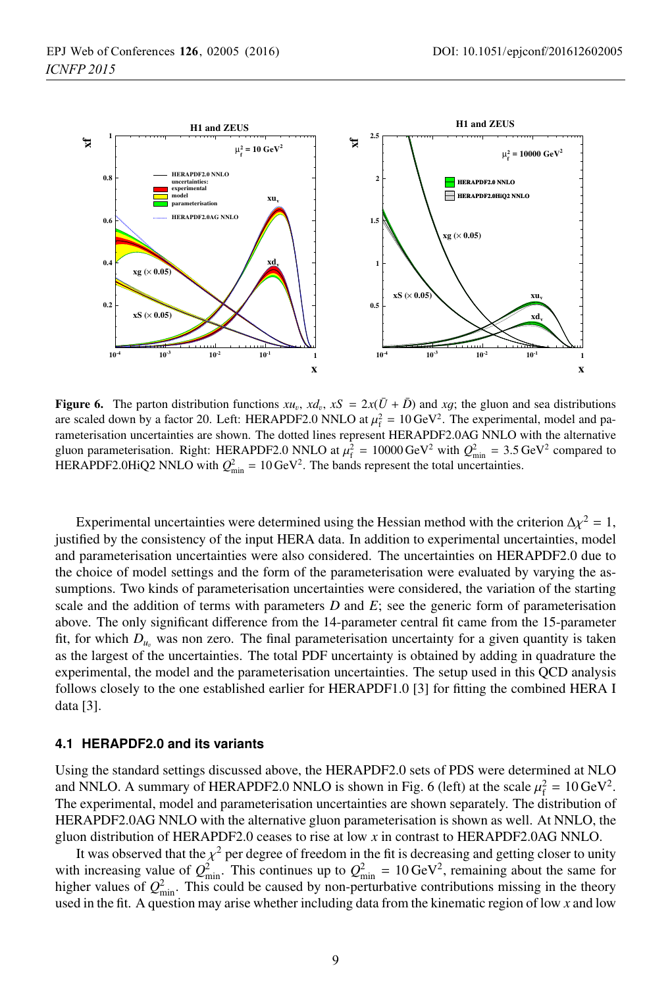

**Figure 6.** The parton distribution functions  $xu_v$ ,  $x\Delta v$ ,  $xS = 2x(\overline{U} + \overline{D})$  and *xg*; the gluon and sea distributions are scaled down by a factor 20. Left: HERAPDF2.0 NNLO at  $\mu_f^2 = 10 \text{ GeV}^2$ . The experimental, model and pa-<br>remeterisation uncertainties are shown. The dotted lines represent HERAPDE2.0AG NNLO with the alternative rameterisation uncertainties are shown. The dotted lines represent HERAPDF2.0AG NNLO with the alternative gluon parameterisation. Right: HERAPDF2.0 NNLO at  $\mu_f^2 = 10000 \,\text{GeV}^2$  with  $Q_{\text{min}}^2 = 3.5 \,\text{GeV}^2$  compared to  $\text{HFR}$  APDF2.0 NNLO with  $Q^2 = 10 \,\text{GeV}^2$ . The bands represent the total uncertainties HERAPDF2.0HiQ2 NNLO with  $Q_{\text{min}}^2 = 10 \,\text{GeV}^2$ . The bands represent the total uncertainties.

Experimental uncertainties were determined using the Hessian method with the criterion  $\Delta \chi^2 = 1$ , justified by the consistency of the input HERA data. In addition to experimental uncertainties, model and parameterisation uncertainties were also considered. The uncertainties on HERAPDF2.0 due to the choice of model settings and the form of the parameterisation were evaluated by varying the assumptions. Two kinds of parameterisation uncertainties were considered, the variation of the starting scale and the addition of terms with parameters  $D$  and  $E$ ; see the generic form of parameterisation above. The only significant difference from the 14-parameter central fit came from the 15-parameter fit, for which  $D_{u_v}$  was non zero. The final parameterisation uncertainty for a given quantity is taken as the largest of the uncertainties. The total PDF uncertainty is obtained by adding in quadrature the experimental, the model and the parameterisation uncertainties. The setup used in this QCD analysis follows closely to the one established earlier for HERAPDF1.0 [3] for fitting the combined HERA I data [3].

### **4.1 HERAPDF2.0 and its variants**

Using the standard settings discussed above, the HERAPDF2.0 sets of PDS were determined at NLO and NNLO. A summary of HERAPDF2.0 NNLO is shown in Fig. 6 (left) at the scale  $\mu_f^2 = 10 \,\text{GeV}^2$ .<br>The experimental model and parameterisation uncertainties are shown separately. The distribution of The experimental, model and parameterisation uncertainties are shown separately. The distribution of HERAPDF2.0AG NNLO with the alternative gluon parameterisation is shown as well. At NNLO, the gluon distribution of HERAPDF2.0 ceases to rise at low *x* in contrast to HERAPDF2.0AG NNLO.

It was observed that the  $\chi^2$  per degree of freedom in the fit is decreasing and getting closer to unity with increasing value of  $Q_{\text{min}}^2$ . This continues up to  $Q_{\text{min}}^2 = 10 \,\text{GeV}^2$ , remaining about the same for higher values of  $Q_{\text{min}}^2$ . This could be caused by non-perturbative contributions missing in the theory used in the fit. A question may arise whether including data from the kinematic region of low *x* and low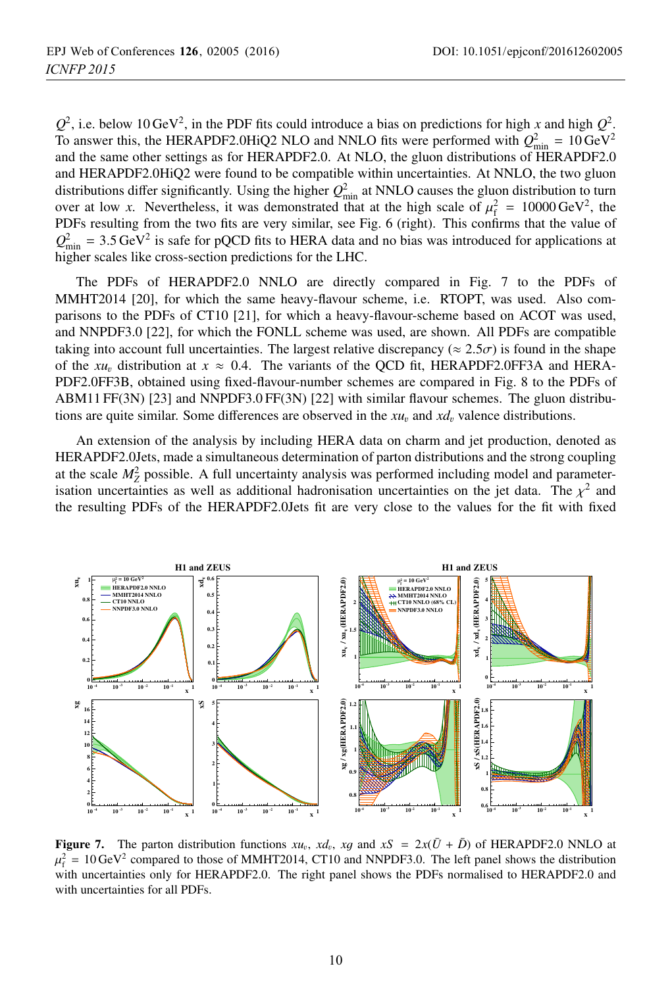$Q^2$ , i.e. below 10 GeV<sup>2</sup>, in the PDF fits could introduce a bias on predictions for high *x* and high  $Q^2$ . To answer this, the HERAPDF2.0HiQ2 NLO and NNLO fits were performed with  $Q_{\text{min}}^2 = 10 \text{ GeV}^2$ and the same other settings as for HERAPDF2.0. At NLO, the gluon distributions of HERAPDF2.0 and HERAPDF2.0HiQ2 were found to be compatible within uncertainties. At NNLO, the two gluon distributions differ significantly. Using the higher  $Q_{\text{min}}^2$  at NNLO causes the gluon distribution to turn over at low *x*. Nevertheless, it was demonstrated that at the high scale of  $\mu_f^2 = 10000 \text{ GeV}^2$ , the PDFs resulting from the two fits are very similar see Fig. 6 (right). This confirms that the value of PDFs resulting from the two fits are very similar, see Fig. 6 (right). This confirms that the value of  $Q_{\text{min}}^2 = 3.5 \text{ GeV}^2$  is safe for pQCD fits to HERA data and no bias was introduced for applications at higher scales like cross-section predictions for the LHC higher scales like cross-section predictions for the LHC.

The PDFs of HERAPDF2.0 NNLO are directly compared in Fig. 7 to the PDFs of MMHT2014 [20], for which the same heavy-flavour scheme, i.e. RTOPT, was used. Also comparisons to the PDFs of CT10 [21], for which a heavy-flavour-scheme based on ACOT was used, and NNPDF3.0 [22], for which the FONLL scheme was used, are shown. All PDFs are compatible taking into account full uncertainties. The largest relative discrepancy ( $\approx 2.5\sigma$ ) is found in the shape of the  $xu_v$  distribution at  $x \approx 0.4$ . The variants of the QCD fit, HERAPDF2.0FF3A and HERA-PDF2.0FF3B, obtained using fixed-flavour-number schemes are compared in Fig. 8 to the PDFs of ABM11 FF(3N) [23] and NNPDF3.0 FF(3N) [22] with similar flavour schemes. The gluon distributions are quite similar. Some differences are observed in the  $xu_v$  and  $x\overline{d}_v$  valence distributions.

An extension of the analysis by including HERA data on charm and jet production, denoted as HERAPDF2.0Jets, made a simultaneous determination of parton distributions and the strong coupling at the scale  $M_Z^2$  possible. A full uncertainty analysis was performed including model and parameterisation uncertainties as well as additional hadronisation uncertainties on the jet data. The  $\chi^2$  and the resulting PDFs of the HERAPDF2.0Jets fit are very close to the values for the fit with fixed



**Figure 7.** The parton distribution functions  $xu_v$ ,  $xd_v$ ,  $xg$  and  $xS = 2x(\bar{U} + \bar{D})$  of HERAPDF2.0 NNLO at  $\mu_f^2 = 10 \text{ GeV}^2$  compared to those of MMHT2014, CT10 and NNPDF3.0. The left panel shows the distribution<br>with uncertainties only for HERAPDE2.0. The right panel shows the PDEs pormalised to HERAPDE2.0 and with uncertainties only for HERAPDF2.0. The right panel shows the PDFs normalised to HERAPDF2.0 and with uncertainties for all PDFs.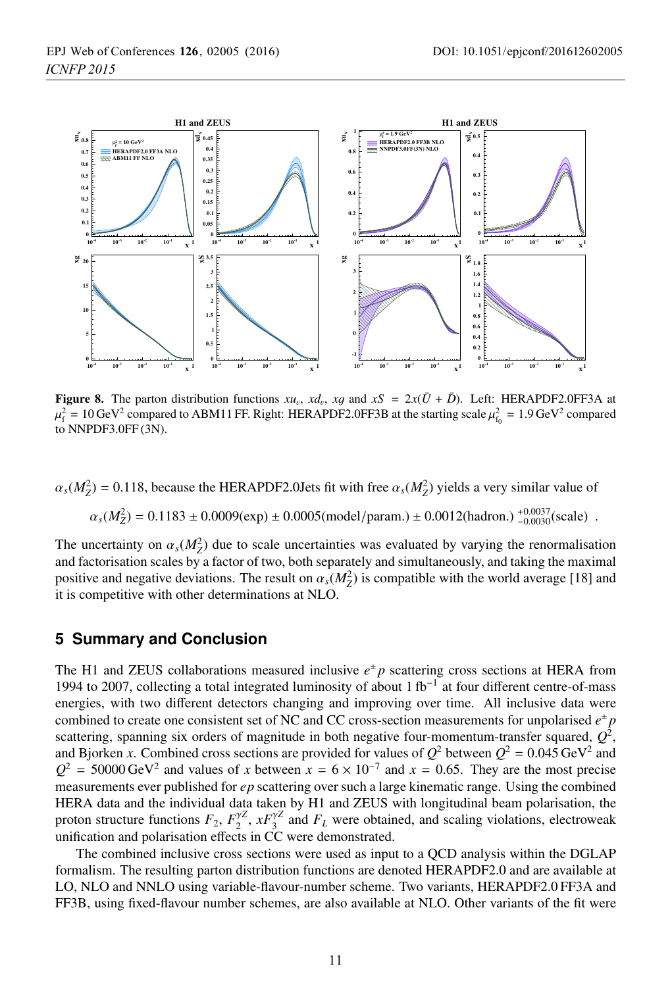

**Figure 8.** The parton distribution functions  $xu_v$ ,  $x_d$ ,  $x_g$  and  $xS = 2x(\bar{U} + \bar{D})$ . Left: HERAPDF2.0FF3A at  $\mu_f^2 = 10 \,\text{GeV}^2$  compared to ABM11 FF. Right: HERAPDF2.0FF3B at the starting scale  $\mu_{f_0}^2 = 1.9 \,\text{GeV}^2$  compared<br>to NNPDE3.0EE(3N) to NNPDF3.0FF (3N).

 $\alpha_s(M_Z^2) = 0.118$ , because the HERAPDF2.0Jets fit with free  $\alpha_s(M_Z^2)$  yields a very similar value of

$$
\alpha_s(M_Z^2) = 0.1183 \pm 0.0009(\text{exp}) \pm 0.0005(\text{model/param.}) \pm 0.0012(\text{hadron.}) \substack{+0.0037\\-0.0030}(\text{scale}) .
$$

The uncertainty on  $\alpha_s(M_Z^2)$  due to scale uncertainties was evaluated by varying the renormalisation and factorisation scales by a factor of two both separately and simultaneously and taking the maximal and factorisation scales by a factor of two, both separately and simultaneously, and taking the maximal positive and negative deviations. The result on  $\alpha_s(M_Z^2)$  is compatible with the world average [18] and it is competitive with other determinations at NI O it is competitive with other determinations at NLO.

### **5 Summary and Conclusion**

The H1 and ZEUS collaborations measured inclusive  $e^{\pm}p$  scattering cross sections at HERA from 1994 to 2007, collecting a total integrated luminosity of about 1 fb<sup>-1</sup> at four different centre-of-mass energies, with two different detectors changing and improving over time. All inclusive data were combined to create one consistent set of NC and CC cross-section measurements for unpolarised  $e^{\pm}p$ scattering, spanning six orders of magnitude in both negative four-momentum-transfer squared,  $Q^2$ , and Bjorken *x*. Combined cross sections are provided for values of  $Q^2$  between  $Q^2 = 0.045 \text{ GeV}^2$  and  $Q^2$  = 50000 GeV<sup>2</sup> and values of *x* between  $x = 6 \times 10^{-7}$  and  $x = 0.65$ . They are the most precise measurements ever published for *ep* scattering over such a large kinematic range. Using the combined HERA data and the individual data taken by H1 and ZEUS with longitudinal beam polarisation, the proton structure functions  $F_2$ ,  $F_2^{\gamma Z}$ ,  $xF_3^{\gamma Z}$  and  $F_L$  were obtained, and scaling violations, electroweak unification and polarisation effects in CC were demonstrated.

The combined inclusive cross sections were used as input to a QCD analysis within the DGLAP formalism. The resulting parton distribution functions are denoted HERAPDF2.0 and are available at LO, NLO and NNLO using variable-flavour-number scheme. Two variants, HERAPDF2.0 FF3A and FF3B, using fixed-flavour number schemes, are also available at NLO. Other variants of the fit were